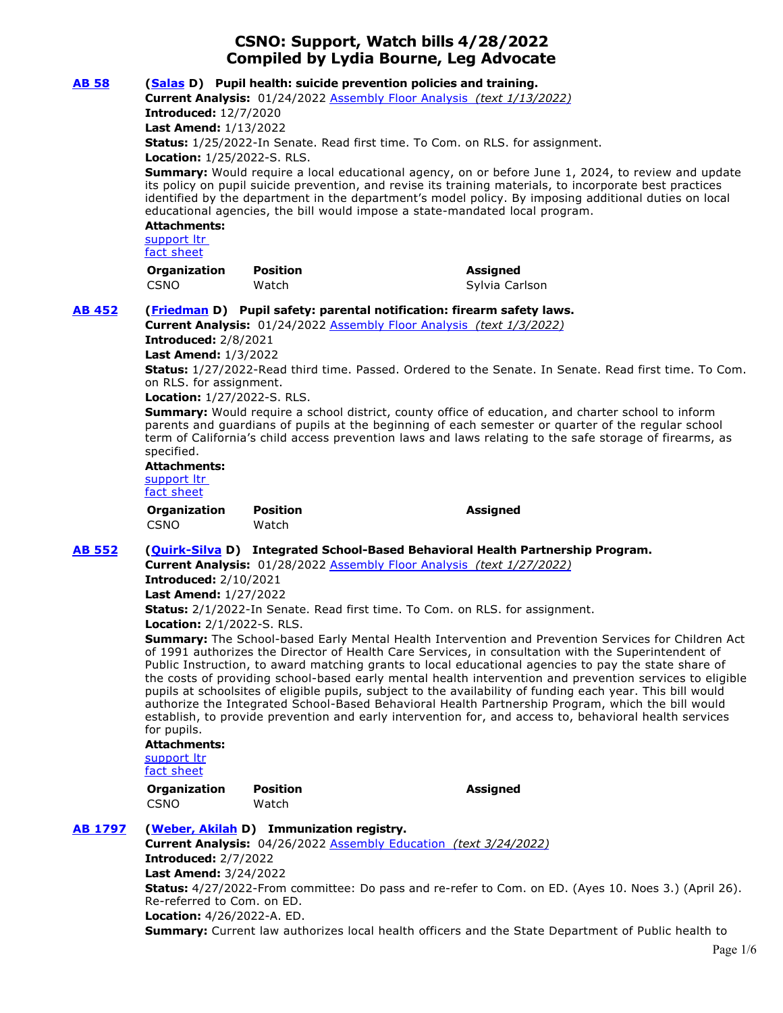# **CSNO: Support, Watch bills 4/28/2022 Compiled by Lydia Bourne, Leg Advocate**

| <b>AB 58</b>   | (Salas D) Pupil health: suicide prevention policies and training.<br>Current Analysis: 01/24/2022 Assembly Floor Analysis (text 1/13/2022)<br><b>Introduced: 12/7/2020</b><br><b>Last Amend: 1/13/2022</b><br>Status: 1/25/2022-In Senate. Read first time. To Com. on RLS. for assignment.<br>Location: 1/25/2022-S. RLS.<br>Summary: Would require a local educational agency, on or before June 1, 2024, to review and update<br>its policy on pupil suicide prevention, and revise its training materials, to incorporate best practices<br>identified by the department in the department's model policy. By imposing additional duties on local<br>educational agencies, the bill would impose a state-mandated local program.<br><b>Attachments:</b><br>support Itr<br>fact sheet                                                                                                                                                                                                                                                                                                                                                                                 |                                                                                                              |                                                                                                                                                                                                            |  |
|----------------|--------------------------------------------------------------------------------------------------------------------------------------------------------------------------------------------------------------------------------------------------------------------------------------------------------------------------------------------------------------------------------------------------------------------------------------------------------------------------------------------------------------------------------------------------------------------------------------------------------------------------------------------------------------------------------------------------------------------------------------------------------------------------------------------------------------------------------------------------------------------------------------------------------------------------------------------------------------------------------------------------------------------------------------------------------------------------------------------------------------------------------------------------------------------------|--------------------------------------------------------------------------------------------------------------|------------------------------------------------------------------------------------------------------------------------------------------------------------------------------------------------------------|--|
|                | Organization<br><b>CSNO</b>                                                                                                                                                                                                                                                                                                                                                                                                                                                                                                                                                                                                                                                                                                                                                                                                                                                                                                                                                                                                                                                                                                                                              | <b>Position</b><br>Watch                                                                                     | <b>Assigned</b><br>Sylvia Carlson                                                                                                                                                                          |  |
| <b>AB 452</b>  | (Friedman D) Pupil safety: parental notification: firearm safety laws.<br>Current Analysis: 01/24/2022 Assembly Floor Analysis (text 1/3/2022)<br><b>Introduced: 2/8/2021</b><br><b>Last Amend: 1/3/2022</b><br>Status: 1/27/2022-Read third time. Passed. Ordered to the Senate. In Senate. Read first time. To Com.<br>on RLS. for assignment.<br>Location: 1/27/2022-S. RLS.<br><b>Summary:</b> Would require a school district, county office of education, and charter school to inform<br>parents and quardians of pupils at the beginning of each semester or quarter of the regular school<br>term of California's child access prevention laws and laws relating to the safe storage of firearms, as<br>specified.<br><b>Attachments:</b><br>support Itr<br>fact sheet                                                                                                                                                                                                                                                                                                                                                                                          |                                                                                                              |                                                                                                                                                                                                            |  |
|                | Organization<br><b>CSNO</b>                                                                                                                                                                                                                                                                                                                                                                                                                                                                                                                                                                                                                                                                                                                                                                                                                                                                                                                                                                                                                                                                                                                                              | <b>Position</b><br>Watch                                                                                     | <b>Assigned</b>                                                                                                                                                                                            |  |
| <b>AB 552</b>  | (Quirk-Silva D) Integrated School-Based Behavioral Health Partnership Program.<br>Current Analysis: 01/28/2022 Assembly Floor Analysis (text 1/27/2022)<br><b>Introduced: 2/10/2021</b><br><b>Last Amend: 1/27/2022</b><br>Status: 2/1/2022-In Senate. Read first time. To Com. on RLS. for assignment.<br>Location: 2/1/2022-S. RLS.<br>Summary: The School-based Early Mental Health Intervention and Prevention Services for Children Act<br>of 1991 authorizes the Director of Health Care Services, in consultation with the Superintendent of<br>Public Instruction, to award matching grants to local educational agencies to pay the state share of<br>the costs of providing school-based early mental health intervention and prevention services to eligible<br>pupils at schoolsites of eligible pupils, subject to the availability of funding each year. This bill would<br>authorize the Integrated School-Based Behavioral Health Partnership Program, which the bill would<br>establish, to provide prevention and early intervention for, and access to, behavioral health services<br>for pupils.<br><b>Attachments:</b><br>support Itr<br>fact sheet |                                                                                                              |                                                                                                                                                                                                            |  |
|                | Organization<br><b>CSNO</b>                                                                                                                                                                                                                                                                                                                                                                                                                                                                                                                                                                                                                                                                                                                                                                                                                                                                                                                                                                                                                                                                                                                                              | <b>Position</b><br>Watch                                                                                     | <b>Assigned</b>                                                                                                                                                                                            |  |
| <b>AB 1797</b> | <b>Introduced: 2/7/2022</b><br><b>Last Amend: 3/24/2022</b><br>Re-referred to Com. on ED.<br>Location: 4/26/2022-A. ED.                                                                                                                                                                                                                                                                                                                                                                                                                                                                                                                                                                                                                                                                                                                                                                                                                                                                                                                                                                                                                                                  | (Weber, Akilah D) Immunization registry.<br>Current Analysis: 04/26/2022 Assembly Education (text 3/24/2022) | Status: 4/27/2022-From committee: Do pass and re-refer to Com. on ED. (Ayes 10. Noes 3.) (April 26).<br>Summary: Current law authorizes local health officers and the State Department of Public health to |  |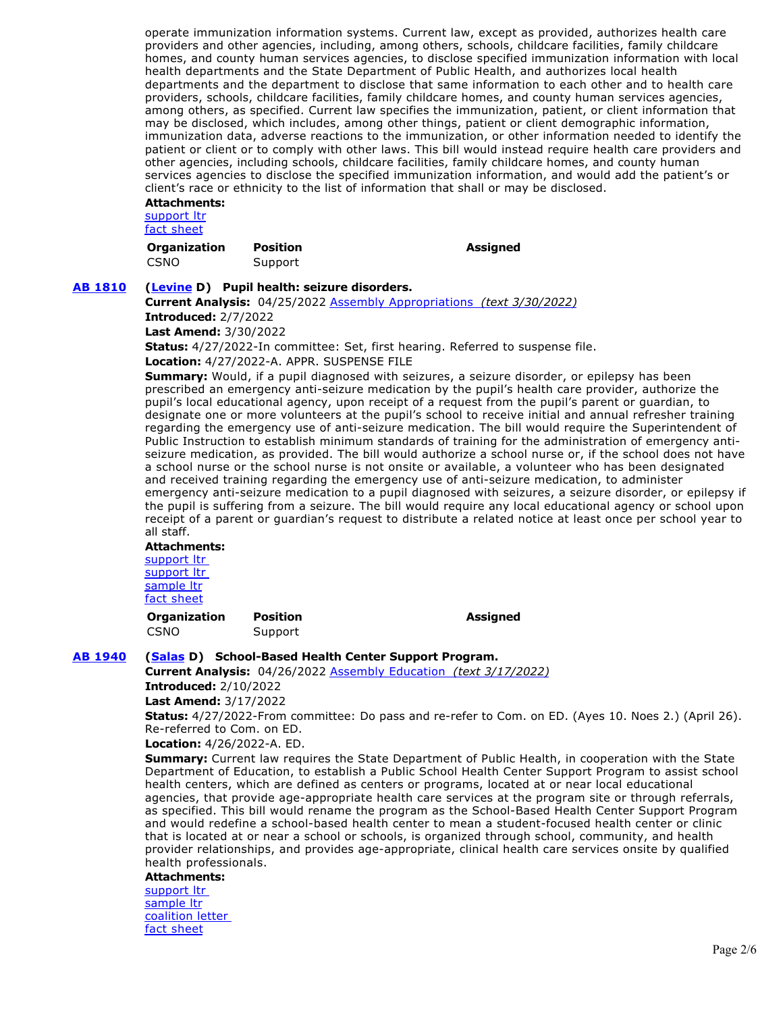operate immunization information systems. Current law, except as provided, authorizes health care providers and other agencies, including, among others, schools, childcare facilities, family childcare homes, and county human services agencies, to disclose specified immunization information with local health departments and the State Department of Public Health, and authorizes local health departments and the department to disclose that same information to each other and to health care providers, schools, childcare facilities, family childcare homes, and county human services agencies, among others, as specified. Current law specifies the immunization, patient, or client information that may be disclosed, which includes, among other things, patient or client demographic information, immunization data, adverse reactions to the immunization, or other information needed to identify the patient or client or to comply with other laws. This bill would instead require health care providers and other agencies, including schools, childcare facilities, family childcare homes, and county human services agencies to disclose the specified immunization information, and would add the patient's or client's race or ethnicity to the list of information that shall or may be disclosed.

# **Attachments:**

[support ltr](https://ctweb.capitoltrack.com/public/publishviewdoc.ashx?di=YbJllgXv5CT6q17ST9cxg00SgG%2FGaMAZ6oEvH2CkuFY%3D) [fact sheet](https://ctweb.capitoltrack.com/public/publishviewdoc.ashx?di=u6BMTjelb7Ayjs70T2D13lL1i1RDGxB04UqDAaJ0KrI%3D)

**Organization Position Assigned**  CSNO Support

# **[AB 1810](https://ctweb.capitoltrack.com/public/publishbillinfo.aspx?bi=qpikVUyZB6S8nbNww3qC80ZCs8Gk1pk2ijtmJF3BWFx7HY0%2B7jn6%2Fz9UhZuw0zUP) [\(Levine](https://a10.asmdc.org/) D) Pupil health: seizure disorders.**

**Current Analysis:** 04/25/2022 [Assembly Appropriations](http://ct3k1.capitoltrack.com/Bills/21Bills/asm/ab_1801-1850/ab_1810_cfa_347647_asm_comm.html)  *(text 3/30/2022)*

**Introduced:** 2/7/2022

**Last Amend:** 3/30/2022

**Status:** 4/27/2022-In committee: Set, first hearing. Referred to suspense file.

**Location:** 4/27/2022-A. APPR. SUSPENSE FILE

**Summary:** Would, if a pupil diagnosed with seizures, a seizure disorder, or epilepsy has been prescribed an emergency anti-seizure medication by the pupil's health care provider, authorize the pupil's local educational agency, upon receipt of a request from the pupil's parent or guardian, to designate one or more volunteers at the pupil's school to receive initial and annual refresher training regarding the emergency use of anti-seizure medication. The bill would require the Superintendent of Public Instruction to establish minimum standards of training for the administration of emergency antiseizure medication, as provided. The bill would authorize a school nurse or, if the school does not have a school nurse or the school nurse is not onsite or available, a volunteer who has been designated and received training regarding the emergency use of anti-seizure medication, to administer emergency anti-seizure medication to a pupil diagnosed with seizures, a seizure disorder, or epilepsy if the pupil is suffering from a seizure. The bill would require any local educational agency or school upon receipt of a parent or guardian's request to distribute a related notice at least once per school year to all staff.

**Attachments:** support ltr

support ltr [sample ltr](https://ctweb.capitoltrack.com/public/publishviewdoc.ashx?di=UU%2FC4YksQWHdN8aK4TNp8P6RKROYhJ2k0M6RHSqsJ4M%3D) [fact sheet](https://ctweb.capitoltrack.com/public/publishviewdoc.ashx?di=u6BMTjelb7Ayjs70T2D13mRshgQq0aSX3tOQzY7rjbo%3D)

**Organization Position Assigned**  CSNO Support

**[AB 1940](https://ctweb.capitoltrack.com/public/publishbillinfo.aspx?bi=F3hyp4dLs4YBo2ycsOt%2FK33yLOi1OWwocZ1%2Fv7%2FaQO7Khxb4pfht6TbNEDnv7lwS) [\(Salas](https://a32.asmdc.org/) D) School-Based Health Center Support Program.**

**Current Analysis:** 04/26/2022 [Assembly Education](http://ct3k1.capitoltrack.com/Bills/21Bills/asm/ab_1901-1950/ab_1940_cfa_347852_asm_comm.html)  *(text 3/17/2022)*

**Introduced:** 2/10/2022

**Last Amend:** 3/17/2022

**Status:** 4/27/2022-From committee: Do pass and re-refer to Com. on ED. (Ayes 10. Noes 2.) (April 26). Re-referred to Com. on ED.

**Location:** 4/26/2022-A. ED.

**Summary:** Current law requires the State Department of Public Health, in cooperation with the State Department of Education, to establish a Public School Health Center Support Program to assist school health centers, which are defined as centers or programs, located at or near local educational agencies, that provide age-appropriate health care services at the program site or through referrals, as specified. This bill would rename the program as the School-Based Health Center Support Program and would redefine a school-based health center to mean a student-focused health center or clinic that is located at or near a school or schools, is organized through school, community, and health provider relationships, and provides age-appropriate, clinical health care services onsite by qualified health professionals.

#### **Attachments:**

support ltr [sample ltr](https://ctweb.capitoltrack.com/public/publishviewdoc.ashx?di=7H7SAmaWOnYeNUroscB%2Bq097FgFZvLg53w%2BuDii2qAI%3D) [coalition letter](https://ctweb.capitoltrack.com/public/publishviewdoc.ashx?di=7H7SAmaWOnYeNUroscB%2Bq%2FCB%2FNztZns64PiUxjBJ1TU%3D)  [fact sheet](https://ctweb.capitoltrack.com/public/publishviewdoc.ashx?di=7H7SAmaWOnYeNUroscB%2Bq%2BIkHazwgQmf%2FZFFmU3LhxQ%3D)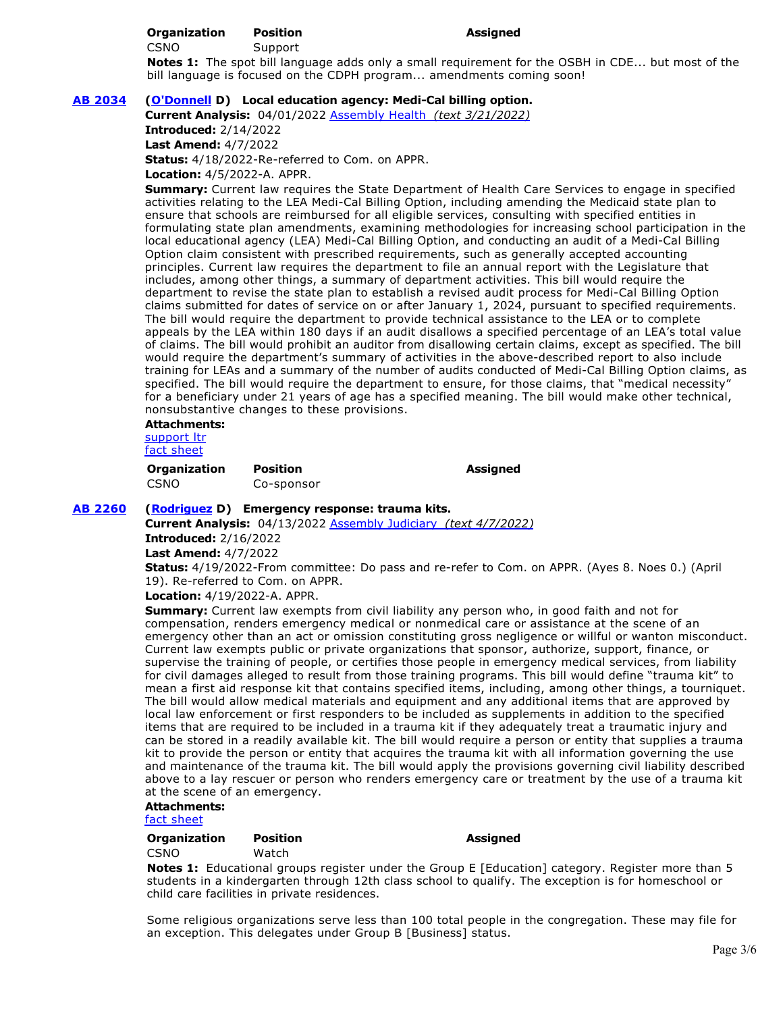#### **Organization Position Assigned**

CSNO Support

**Notes 1:** The spot bill language adds only a small requirement for the OSBH in CDE... but most of the bill language is focused on the CDPH program... amendments coming soon!

# **[AB 2034](https://ctweb.capitoltrack.com/public/publishbillinfo.aspx?bi=sv%2BfFKWzuPyfWnhoK1FDRZGur%2BrlY3Num0yt1KU5l1pcA3BP9%2BNd83WE7ogiCoUr) [\(O'Donnell](https://a70.asmdc.org/) D) Local education agency: Medi-Cal billing option.**

**Current Analysis:** 04/01/2022 [Assembly Health](http://ct3k1.capitoltrack.com/Bills/21Bills/asm/ab_2001-2050/ab_2034_cfa_346065_asm_comm.html)  *(text 3/21/2022)*

**Introduced:** 2/14/2022

**Last Amend:** 4/7/2022

**Status:** 4/18/2022-Re-referred to Com. on APPR.

**Location:** 4/5/2022-A. APPR.

**Summary:** Current law requires the State Department of Health Care Services to engage in specified activities relating to the LEA Medi-Cal Billing Option, including amending the Medicaid state plan to ensure that schools are reimbursed for all eligible services, consulting with specified entities in formulating state plan amendments, examining methodologies for increasing school participation in the local educational agency (LEA) Medi-Cal Billing Option, and conducting an audit of a Medi-Cal Billing Option claim consistent with prescribed requirements, such as generally accepted accounting principles. Current law requires the department to file an annual report with the Legislature that includes, among other things, a summary of department activities. This bill would require the department to revise the state plan to establish a revised audit process for Medi-Cal Billing Option claims submitted for dates of service on or after January 1, 2024, pursuant to specified requirements. The bill would require the department to provide technical assistance to the LEA or to complete appeals by the LEA within 180 days if an audit disallows a specified percentage of an LEA's total value of claims. The bill would prohibit an auditor from disallowing certain claims, except as specified. The bill would require the department's summary of activities in the above-described report to also include training for LEAs and a summary of the number of audits conducted of Medi-Cal Billing Option claims, as specified. The bill would require the department to ensure, for those claims, that "medical necessity" for a beneficiary under 21 years of age has a specified meaning. The bill would make other technical, nonsubstantive changes to these provisions.

**Attachments:**

[support ltr](https://ctweb.capitoltrack.com/public/publishviewdoc.ashx?di=7H7SAmaWOnYeNUroscB%2BqzT%2B1iiBv1uPnqazg8EWkmc%3D) [fact sheet](https://ctweb.capitoltrack.com/public/publishviewdoc.ashx?di=u6BMTjelb7Ayjs70T2D13tiP%2BJKMogdDDjzaGwEEVXA%3D)

**Organization Position Assigned**  CSNO Co-sponsor

**[AB 2260](https://ctweb.capitoltrack.com/public/publishbillinfo.aspx?bi=60cRaWU6yAXNzRUrXlR%2BlorhCtgMDdZqinOfVFDOc20OQ3tGNgxVfkSNexegO6k%2B) [\(Rodriguez](https://a52.asmdc.org/) D) Emergency response: trauma kits.**

**Current Analysis:** 04/13/2022 [Assembly Judiciary](http://ct3k1.capitoltrack.com/Bills/21Bills/asm/ab_2251-2300/ab_2260_cfa_346416_asm_comm.html)  *(text 4/7/2022)* **Introduced:** 2/16/2022

**Last Amend:** 4/7/2022

**Status:** 4/19/2022-From committee: Do pass and re-refer to Com. on APPR. (Ayes 8. Noes 0.) (April 19). Re-referred to Com. on APPR.

**Location:** 4/19/2022-A. APPR.

**Summary:** Current law exempts from civil liability any person who, in good faith and not for compensation, renders emergency medical or nonmedical care or assistance at the scene of an emergency other than an act or omission constituting gross negligence or willful or wanton misconduct. Current law exempts public or private organizations that sponsor, authorize, support, finance, or supervise the training of people, or certifies those people in emergency medical services, from liability for civil damages alleged to result from those training programs. This bill would define "trauma kit" to mean a first aid response kit that contains specified items, including, among other things, a tourniquet. The bill would allow medical materials and equipment and any additional items that are approved by local law enforcement or first responders to be included as supplements in addition to the specified items that are required to be included in a trauma kit if they adequately treat a traumatic injury and can be stored in a readily available kit. The bill would require a person or entity that supplies a trauma kit to provide the person or entity that acquires the trauma kit with all information governing the use and maintenance of the trauma kit. The bill would apply the provisions governing civil liability described above to a lay rescuer or person who renders emergency care or treatment by the use of a trauma kit at the scene of an emergency.

# **Attachments:**

[fact sheet](https://ctweb.capitoltrack.com/public/publishviewdoc.ashx?di=EkM5JhYlT0nNvlXikOUzpql%2BobeRRKbtcV53VWzbKjM%3D)

| Organization | <b>Position</b> | Assigned                                                                    |
|--------------|-----------------|-----------------------------------------------------------------------------|
| CSNO         | Watch           |                                                                             |
|              |                 | Notes 1: Educational groups register under the Group E [Education] category |

**Notes 1:** Educational groups register under the Group E [Education] category. Register more than 5 students in a kindergarten through 12th class school to qualify. The exception is for homeschool or child care facilities in private residences.

Some religious organizations serve less than 100 total people in the congregation. These may file for an exception. This delegates under Group B [Business] status.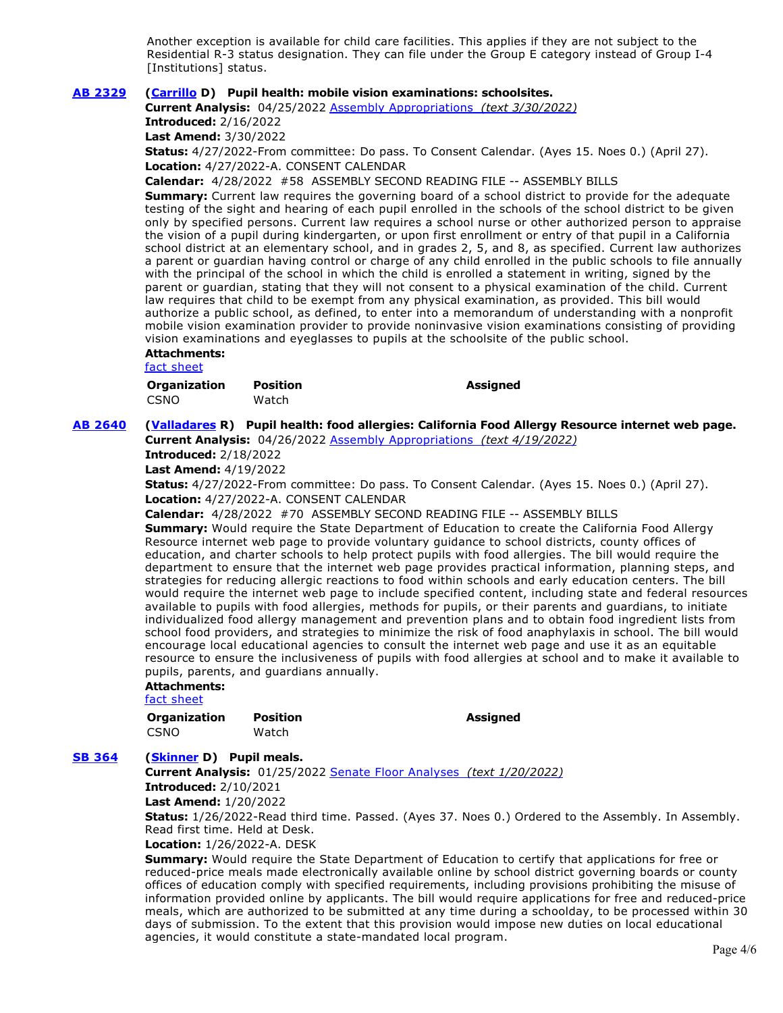Another exception is available for child care facilities. This applies if they are not subject to the Residential R-3 status designation. They can file under the Group E category instead of Group I-4 [Institutions] status.

### **[AB 2329](https://ctweb.capitoltrack.com/public/publishbillinfo.aspx?bi=p8ES91QKVOJtx2zN9WZKp5R%2F%2FzQZfYvsTNkGUFNdofXTw7x3WGc8wOOO5n3AuxCM) [\(Carrillo](https://a51.asmdc.org/) D) Pupil health: mobile vision examinations: schoolsites.**

**Current Analysis:** 04/25/2022 [Assembly Appropriations](http://ct3k1.capitoltrack.com/Bills/21Bills/asm/ab_2301-2350/ab_2329_cfa_347722_asm_comm.html)  *(text 3/30/2022)*

**Introduced:** 2/16/2022

**Last Amend:** 3/30/2022

**Status:** 4/27/2022-From committee: Do pass. To Consent Calendar. (Ayes 15. Noes 0.) (April 27). **Location:** 4/27/2022-A. CONSENT CALENDAR

**Calendar:** 4/28/2022 #58 ASSEMBLY SECOND READING FILE -- ASSEMBLY BILLS

**Summary:** Current law requires the governing board of a school district to provide for the adequate testing of the sight and hearing of each pupil enrolled in the schools of the school district to be given only by specified persons. Current law requires a school nurse or other authorized person to appraise the vision of a pupil during kindergarten, or upon first enrollment or entry of that pupil in a California school district at an elementary school, and in grades 2, 5, and 8, as specified. Current law authorizes a parent or guardian having control or charge of any child enrolled in the public schools to file annually with the principal of the school in which the child is enrolled a statement in writing, signed by the parent or guardian, stating that they will not consent to a physical examination of the child. Current law requires that child to be exempt from any physical examination, as provided. This bill would authorize a public school, as defined, to enter into a memorandum of understanding with a nonprofit mobile vision examination provider to provide noninvasive vision examinations consisting of providing vision examinations and eyeglasses to pupils at the schoolsite of the public school.

# **Attachments:**

[fact sheet](https://ctweb.capitoltrack.com/public/publishviewdoc.ashx?di=EkM5JhYlT0nNvlXikOUzpoUiObXFscXmd4f%2B1yU3DEM%3D)

| Organization | <b>Position</b> | <b>Assigned</b> |
|--------------|-----------------|-----------------|
| CSNO         | Watch           |                 |

**[AB 2640](https://ctweb.capitoltrack.com/public/publishbillinfo.aspx?bi=8Z2hDulVbgeV17oiW6bKiOTAlvYkfJNPJhYMjXEJOIS%2BJkjD2Vi9ggq%2BYreOCuzb) [\(Valladares](https://ad38.asmrc.org/) R) Pupil health: food allergies: California Food Allergy Resource internet web page.**

**Current Analysis:** 04/26/2022 [Assembly Appropriations](http://ct3k1.capitoltrack.com/Bills/21Bills/asm/ab_2601-2650/ab_2640_cfa_347800_asm_comm.html)  *(text 4/19/2022)*

**Introduced:** 2/18/2022

**Last Amend:** 4/19/2022

**Status:** 4/27/2022-From committee: Do pass. To Consent Calendar. (Ayes 15. Noes 0.) (April 27). **Location:** 4/27/2022-A. CONSENT CALENDAR

**Calendar:** 4/28/2022 #70 ASSEMBLY SECOND READING FILE -- ASSEMBLY BILLS

**Summary:** Would require the State Department of Education to create the California Food Allergy Resource internet web page to provide voluntary guidance to school districts, county offices of education, and charter schools to help protect pupils with food allergies. The bill would require the department to ensure that the internet web page provides practical information, planning steps, and strategies for reducing allergic reactions to food within schools and early education centers. The bill would require the internet web page to include specified content, including state and federal resources available to pupils with food allergies, methods for pupils, or their parents and guardians, to initiate individualized food allergy management and prevention plans and to obtain food ingredient lists from school food providers, and strategies to minimize the risk of food anaphylaxis in school. The bill would encourage local educational agencies to consult the internet web page and use it as an equitable resource to ensure the inclusiveness of pupils with food allergies at school and to make it available to pupils, parents, and guardians annually.

### **Attachments:**

[fact sheet](https://ctweb.capitoltrack.com/public/publishviewdoc.ashx?di=EkM5JhYlT0nNvlXikOUzpk0MvXuB316xeZ9gUji076Y%3D)

**Organization Position Assigned**  CSNO Watch

# **[SB 364](https://ctweb.capitoltrack.com/public/publishbillinfo.aspx?bi=myvdiqQwc2CC6JqmeyHQVVOSkooK5wEPrJwN4LKwaGuEm0nc14xnWVO4Zfr6lfi3) [\(Skinner](http://sd09.senate.ca.gov/) D) Pupil meals.**

**Current Analysis:** 01/25/2022 [Senate Floor Analyses](http://ct3k1.capitoltrack.com/Bills/21Bills/sen/sb_0351-0400/sb_364_cfa_344973_sen_comm.html)  *(text 1/20/2022)* **Introduced:** 2/10/2021

**Last Amend:** 1/20/2022

**Status:** 1/26/2022-Read third time. Passed. (Ayes 37. Noes 0.) Ordered to the Assembly. In Assembly. Read first time. Held at Desk.

#### **Location:** 1/26/2022-A. DESK

**Summary:** Would require the State Department of Education to certify that applications for free or reduced-price meals made electronically available online by school district governing boards or county offices of education comply with specified requirements, including provisions prohibiting the misuse of information provided online by applicants. The bill would require applications for free and reduced-price meals, which are authorized to be submitted at any time during a schoolday, to be processed within 30 days of submission. To the extent that this provision would impose new duties on local educational agencies, it would constitute a state-mandated local program.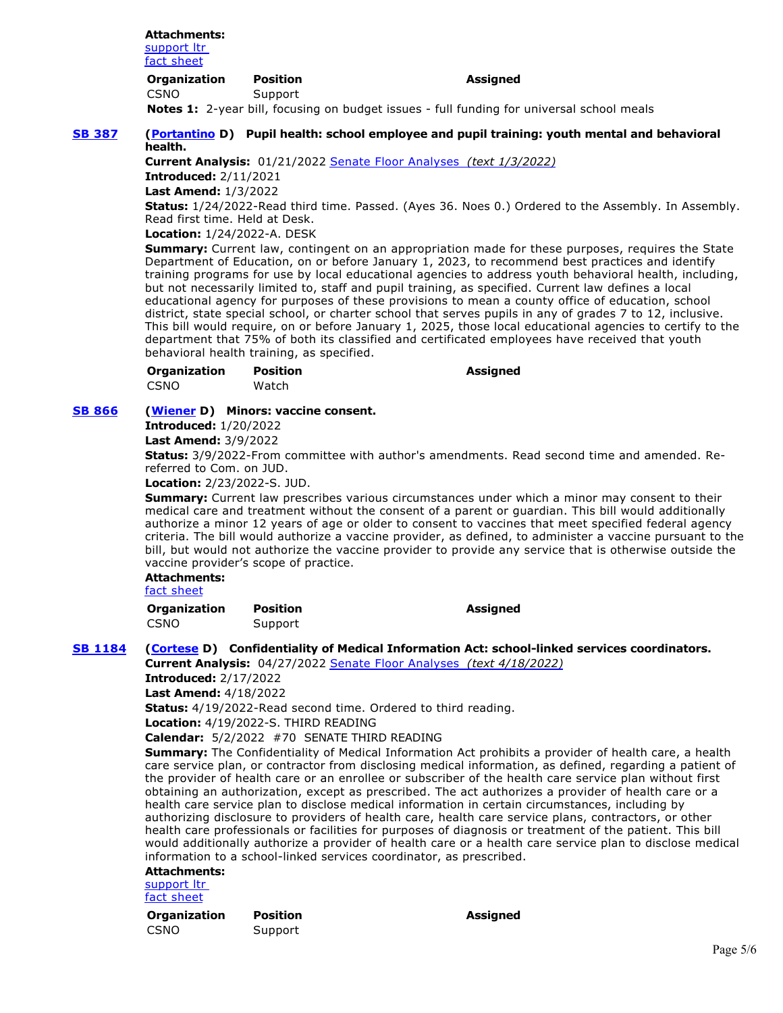#### **Attachments:** support ltr [fact sheet](https://ctweb.capitoltrack.com/public/publishviewdoc.ashx?di=2b3s611Ls3yc9QnSEnjBSAVndPMZ0fcvLByd8kEZE8M%3D)

| Organization | Position |
|--------------|----------|
| CSNO         | Support  |

**Assigned** 

**Notes 1:** 2-year bill, focusing on budget issues - full funding for universal school meals

### **[SB 387](https://ctweb.capitoltrack.com/public/publishbillinfo.aspx?bi=jcMAdXrNQYgngefabSy9pJd6djy%2FBAuNerYBMrmwhZSJlD21obCruErb%2BRTTsjad) [\(Portantino](http://sd25.senate.ca.gov/) D) Pupil health: school employee and pupil training: youth mental and behavioral health.**

**Current Analysis:** 01/21/2022 [Senate Floor Analyses](http://ct3k1.capitoltrack.com/Bills/21Bills/sen/sb_0351-0400/sb_387_cfa_344903_sen_comm.html)  *(text 1/3/2022)*

**Introduced:** 2/11/2021 **Last Amend:** 1/3/2022

**Status:** 1/24/2022-Read third time. Passed. (Ayes 36. Noes 0.) Ordered to the Assembly. In Assembly. Read first time. Held at Desk.

**Location:** 1/24/2022-A. DESK

**Summary:** Current law, contingent on an appropriation made for these purposes, requires the State Department of Education, on or before January 1, 2023, to recommend best practices and identify training programs for use by local educational agencies to address youth behavioral health, including, but not necessarily limited to, staff and pupil training, as specified. Current law defines a local educational agency for purposes of these provisions to mean a county office of education, school district, state special school, or charter school that serves pupils in any of grades 7 to 12, inclusive. This bill would require, on or before January 1, 2025, those local educational agencies to certify to the department that 75% of both its classified and certificated employees have received that youth behavioral health training, as specified.

| <b>Organization</b> | <b>Position</b> | <b>Assigned</b> |
|---------------------|-----------------|-----------------|
| CSNO                | Watch           |                 |

# **[SB 866](https://ctweb.capitoltrack.com/public/publishbillinfo.aspx?bi=z9Su2mLs8M2L8YiLmH8AiLYFy5JKsnvUjrr6Z9CKo%2BFcX9qVYjo6sydPqa9%2F9Hzg) [\(Wiener](http://sd11.senate.ca.gov/) D) Minors: vaccine consent.**

**Introduced:** 1/20/2022

**Last Amend:** 3/9/2022

**Status:** 3/9/2022-From committee with author's amendments. Read second time and amended. Rereferred to Com. on JUD.

**Location:** 2/23/2022-S. JUD.

**Summary:** Current law prescribes various circumstances under which a minor may consent to their medical care and treatment without the consent of a parent or guardian. This bill would additionally authorize a minor 12 years of age or older to consent to vaccines that meet specified federal agency criteria. The bill would authorize a vaccine provider, as defined, to administer a vaccine pursuant to the bill, but would not authorize the vaccine provider to provide any service that is otherwise outside the vaccine provider's scope of practice.

# **Attachments:**

[fact sheet](https://ctweb.capitoltrack.com/public/publishviewdoc.ashx?di=u6BMTjelb7Ayjs70T2D13qWeX2pbTSZEaWfY2Po2dB8%3D)

**Organization Position Assigned**  CSNO Support

**[SB 1184](https://ctweb.capitoltrack.com/public/publishbillinfo.aspx?bi=7C6%2B0p6nBiQNhJPHWRs4i3j4WiLLaMk2Knb8m764b5R5SXZfePkQ7YyO82Rf5w7p) [\(Cortese](http://sd15.senate.ca.gov/) D) Confidentiality of Medical Information Act: school-linked services coordinators.**

**Current Analysis:** 04/27/2022 [Senate Floor Analyses](http://ct3k1.capitoltrack.com/Bills/21Bills/sen/sb_1151-1200/sb_1184_cfa_347881_sen_comm.html)  *(text 4/18/2022)*

**Introduced:** 2/17/2022

**Last Amend:** 4/18/2022

**Status:** 4/19/2022-Read second time. Ordered to third reading.

**Location:** 4/19/2022-S. THIRD READING

**Calendar:** 5/2/2022 #70 SENATE THIRD READING

**Summary:** The Confidentiality of Medical Information Act prohibits a provider of health care, a health care service plan, or contractor from disclosing medical information, as defined, regarding a patient of the provider of health care or an enrollee or subscriber of the health care service plan without first obtaining an authorization, except as prescribed. The act authorizes a provider of health care or a health care service plan to disclose medical information in certain circumstances, including by authorizing disclosure to providers of health care, health care service plans, contractors, or other health care professionals or facilities for purposes of diagnosis or treatment of the patient. This bill would additionally authorize a provider of health care or a health care service plan to disclose medical information to a school-linked services coordinator, as prescribed.

# **Attachments:**

support ltr [fact sheet](https://ctweb.capitoltrack.com/public/publishviewdoc.ashx?di=EkM5JhYlT0nNvlXikOUzpukVUH9XXmwPSZPTXl48mmw%3D)

**Organization Position Assigned**  CSNO Support